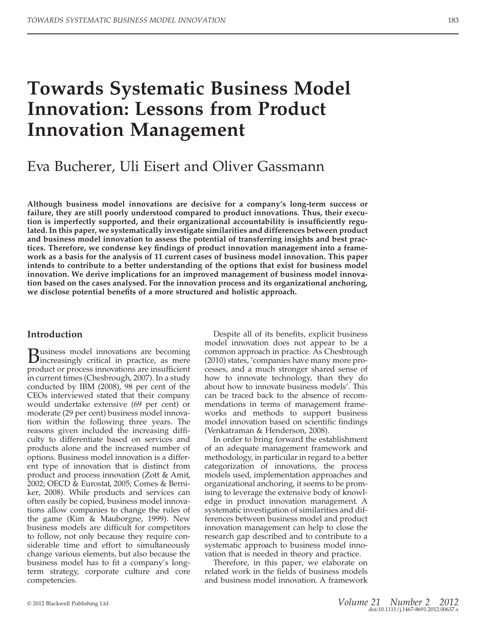# **Towards Systematic Business Model Innovation: Lessons from Product Innovation Management**

# Eva Bucherer, Uli Eisert and Oliver Gassmann

**Although business model innovations are decisive for a company's long-term success or failure, they are still poorly understood compared to product innovations. Thus, their execution is imperfectly supported, and their organizational accountability is insufficiently regulated. In this paper, we systematically investigate similarities and differences between product and business model innovation to assess the potential of transferring insights and best practices. Therefore, we condense key findings of product innovation management into a framework as a basis for the analysis of 11 current cases of business model innovation. This paper intends to contribute to a better understanding of the options that exist for business model innovation. We derive implications for an improved management of business model innovation based on the cases analysed. For the innovation process and its organizational anchoring, we disclose potential benefits of a more structured and holistic approach.**

# **Introduction**

**B**usiness model innovations are becoming<br>increasingly critical in practice, as mere product or process innovations are insufficient in current times (Chesbrough, 2007). In a study conducted by IBM (2008), 98 per cent of the CEOs interviewed stated that their company would undertake extensive (69 per cent) or moderate (29 per cent) business model innovation within the following three years. The reasons given included the increasing difficulty to differentiate based on services and products alone and the increased number of options. Business model innovation is a different type of innovation that is distinct from product and process innovation (Zott & Amit, 2002; OECD & Eurostat, 2005; Comes & Berniker, 2008). While products and services can often easily be copied, business model innovations allow companies to change the rules of the game (Kim & Mauborgne, 1999). New business models are difficult for competitors to follow, not only because they require considerable time and effort to simultaneously change various elements, but also because the business model has to fit a company's longterm strategy, corporate culture and core competencies.

Despite all of its benefits, explicit business model innovation does not appear to be a common approach in practice. As Chesbrough (2010) states, 'companies have many more processes, and a much stronger shared sense of how to innovate technology, than they do about how to innovate business models'. This can be traced back to the absence of recommendations in terms of management frameworks and methods to support business model innovation based on scientific findings (Venkatraman & Henderson, 2008).

In order to bring forward the establishment of an adequate management framework and methodology, in particular in regard to a better categorization of innovations, the process models used, implementation approaches and organizational anchoring, it seems to be promising to leverage the extensive body of knowledge in product innovation management. A systematic investigation of similarities and differences between business model and product innovation management can help to close the research gap described and to contribute to a systematic approach to business model innovation that is needed in theory and practice.

Therefore, in this paper, we elaborate on related work in the fields of business models and business model innovation. A framework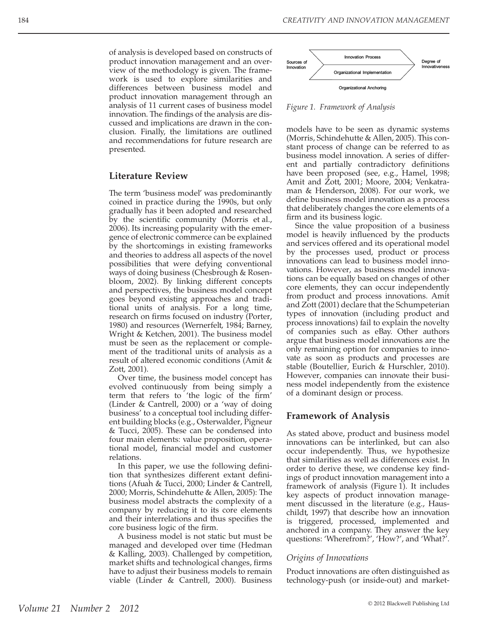of analysis is developed based on constructs of product innovation management and an overview of the methodology is given. The framework is used to explore similarities and differences between business model and product innovation management through an analysis of 11 current cases of business model innovation. The findings of the analysis are discussed and implications are drawn in the conclusion. Finally, the limitations are outlined and recommendations for future research are presented.

#### **Literature Review**

The term 'business model' was predominantly coined in practice during the 1990s, but only gradually has it been adopted and researched by the scientific community (Morris et al., 2006). Its increasing popularity with the emergence of electronic commerce can be explained by the shortcomings in existing frameworks and theories to address all aspects of the novel possibilities that were defying conventional ways of doing business (Chesbrough & Rosenbloom, 2002). By linking different concepts and perspectives, the business model concept goes beyond existing approaches and traditional units of analysis. For a long time, research on firms focused on industry (Porter, 1980) and resources (Wernerfelt, 1984; Barney, Wright & Ketchen, 2001). The business model must be seen as the replacement or complement of the traditional units of analysis as a result of altered economic conditions (Amit & Zott, 2001).

Over time, the business model concept has evolved continuously from being simply a term that refers to 'the logic of the firm' (Linder & Cantrell, 2000) or a 'way of doing business' to a conceptual tool including different building blocks (e.g., Osterwalder, Pigneur & Tucci, 2005). These can be condensed into four main elements: value proposition, operational model, financial model and customer relations.

In this paper, we use the following definition that synthesizes different extant definitions (Afuah & Tucci, 2000; Linder & Cantrell, 2000; Morris, Schindehutte & Allen, 2005): The business model abstracts the complexity of a company by reducing it to its core elements and their interrelations and thus specifies the core business logic of the firm.

A business model is not static but must be managed and developed over time (Hedman & Kalling, 2003). Challenged by competition, market shifts and technological changes, firms have to adjust their business models to remain viable (Linder & Cantrell, 2000). Business



*Figure 1. Framework of Analysis*

models have to be seen as dynamic systems (Morris, Schindehutte & Allen, 2005). This constant process of change can be referred to as business model innovation. A series of different and partially contradictory definitions have been proposed (see, e.g., Hamel, 1998; Amit and Zott, 2001; Moore, 2004; Venkatraman & Henderson, 2008). For our work, we define business model innovation as a process that deliberately changes the core elements of a firm and its business logic.

Since the value proposition of a business model is heavily influenced by the products and services offered and its operational model by the processes used, product or process innovations can lead to business model innovations. However, as business model innovations can be equally based on changes of other core elements, they can occur independently from product and process innovations. Amit and Zott (2001) declare that the Schumpeterian types of innovation (including product and process innovations) fail to explain the novelty of companies such as eBay. Other authors argue that business model innovations are the only remaining option for companies to innovate as soon as products and processes are stable (Boutellier, Eurich & Hurschler, 2010). However, companies can innovate their business model independently from the existence of a dominant design or process.

#### **Framework of Analysis**

As stated above, product and business model innovations can be interlinked, but can also occur independently. Thus, we hypothesize that similarities as well as differences exist. In order to derive these, we condense key findings of product innovation management into a framework of analysis (Figure 1). It includes key aspects of product innovation management discussed in the literature (e.g., Hauschildt, 1997) that describe how an innovation is triggered, processed, implemented and anchored in a company. They answer the key questions: 'Wherefrom?', 'How?', and 'What?'.

#### *Origins of Innovations*

Product innovations are often distinguished as technology-push (or inside-out) and market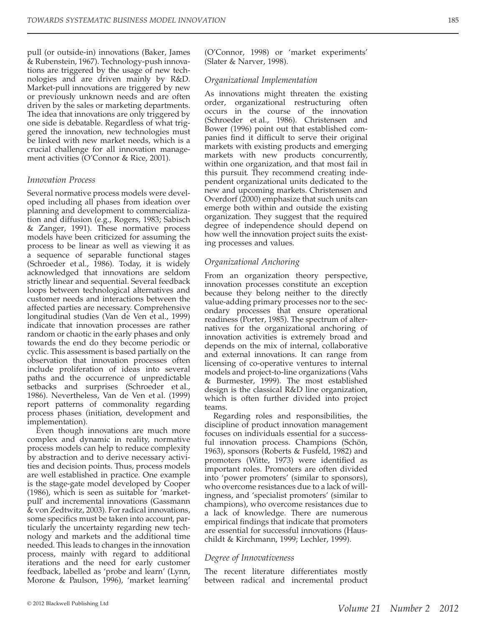pull (or outside-in) innovations (Baker, James & Rubenstein, 1967). Technology-push innovations are triggered by the usage of new technologies and are driven mainly by R&D. Market-pull innovations are triggered by new or previously unknown needs and are often driven by the sales or marketing departments. The idea that innovations are only triggered by one side is debatable. Regardless of what triggered the innovation, new technologies must be linked with new market needs, which is a crucial challenge for all innovation management activities (O'Connor & Rice, 2001).

#### *Innovation Process*

Several normative process models were developed including all phases from ideation over planning and development to commercialization and diffusion (e.g., Rogers, 1983; Sabisch & Zanger, 1991). These normative process models have been criticized for assuming the process to be linear as well as viewing it as a sequence of separable functional stages (Schroeder et al., 1986). Today, it is widely acknowledged that innovations are seldom strictly linear and sequential. Several feedback loops between technological alternatives and customer needs and interactions between the affected parties are necessary. Comprehensive longitudinal studies (Van de Ven et al., 1999) indicate that innovation processes are rather random or chaotic in the early phases and only towards the end do they become periodic or cyclic. This assessment is based partially on the observation that innovation processes often include proliferation of ideas into several paths and the occurrence of unpredictable setbacks and surprises (Schroeder et al., 1986). Nevertheless, Van de Ven et al. (1999) report patterns of commonality regarding process phases (initiation, development and implementation).

Even though innovations are much more complex and dynamic in reality, normative process models can help to reduce complexity by abstraction and to derive necessary activities and decision points. Thus, process models are well established in practice. One example is the stage-gate model developed by Cooper (1986), which is seen as suitable for 'marketpull' and incremental innovations (Gassmann & von Zedtwitz, 2003). For radical innovations, some specifics must be taken into account, particularly the uncertainty regarding new technology and markets and the additional time needed. This leads to changes in the innovation process, mainly with regard to additional iterations and the need for early customer feedback, labelled as 'probe and learn' (Lynn, Morone & Paulson, 1996), 'market learning'

(O'Connor, 1998) or 'market experiments' (Slater & Narver, 1998).

#### *Organizational Implementation*

As innovations might threaten the existing order, organizational restructuring often occurs in the course of the innovation (Schroeder et al., 1986). Christensen and Bower (1996) point out that established companies find it difficult to serve their original markets with existing products and emerging markets with new products concurrently, within one organization, and that most fail in this pursuit. They recommend creating independent organizational units dedicated to the new and upcoming markets. Christensen and Overdorf (2000) emphasize that such units can emerge both within and outside the existing organization. They suggest that the required degree of independence should depend on how well the innovation project suits the existing processes and values.

#### *Organizational Anchoring*

From an organization theory perspective, innovation processes constitute an exception because they belong neither to the directly value-adding primary processes nor to the secondary processes that ensure operational readiness (Porter, 1985). The spectrum of alternatives for the organizational anchoring of innovation activities is extremely broad and depends on the mix of internal, collaborative and external innovations. It can range from licensing of co-operative ventures to internal models and project-to-line organizations (Vahs & Burmester, 1999). The most established design is the classical R&D line organization, which is often further divided into project teams.

Regarding roles and responsibilities, the discipline of product innovation management focuses on individuals essential for a successful innovation process. Champions (Schön, 1963), sponsors (Roberts & Fusfeld, 1982) and promoters (Witte, 1973) were identified as important roles. Promoters are often divided into 'power promoters' (similar to sponsors), who overcome resistances due to a lack of willingness, and 'specialist promoters' (similar to champions), who overcome resistances due to a lack of knowledge. There are numerous empirical findings that indicate that promoters are essential for successful innovations (Hauschildt & Kirchmann, 1999; Lechler, 1999).

#### *Degree of Innovativeness*

The recent literature differentiates mostly between radical and incremental product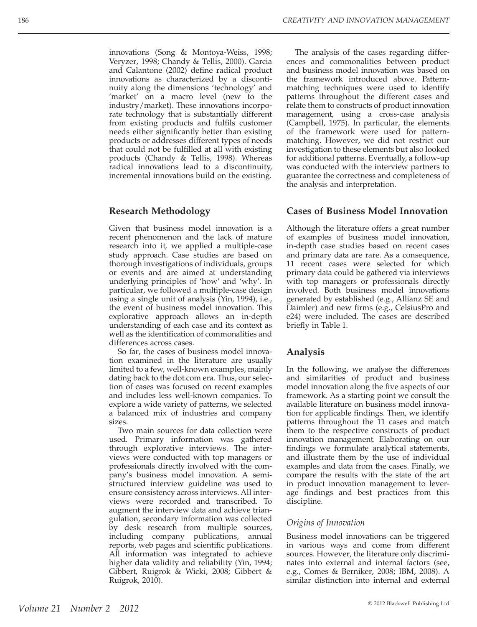innovations (Song & Montoya-Weiss, 1998; Veryzer, 1998; Chandy & Tellis, 2000). Garcia and Calantone (2002) define radical product innovations as characterized by a discontinuity along the dimensions 'technology' and 'market' on a macro level (new to the industry/market). These innovations incorporate technology that is substantially different from existing products and fulfils customer needs either significantly better than existing products or addresses different types of needs that could not be fulfilled at all with existing products (Chandy & Tellis, 1998). Whereas radical innovations lead to a discontinuity, incremental innovations build on the existing.

# **Research Methodology**

Given that business model innovation is a recent phenomenon and the lack of mature research into it, we applied a multiple-case study approach. Case studies are based on thorough investigations of individuals, groups or events and are aimed at understanding underlying principles of 'how' and 'why'. In particular, we followed a multiple-case design using a single unit of analysis (Yin, 1994), i.e., the event of business model innovation. This explorative approach allows an in-depth understanding of each case and its context as well as the identification of commonalities and differences across cases.

So far, the cases of business model innovation examined in the literature are usually limited to a few, well-known examples, mainly dating back to the dot.com era. Thus, our selection of cases was focused on recent examples and includes less well-known companies. To explore a wide variety of patterns, we selected a balanced mix of industries and company sizes.

Two main sources for data collection were used. Primary information was gathered through explorative interviews. The interviews were conducted with top managers or professionals directly involved with the company's business model innovation. A semistructured interview guideline was used to ensure consistency across interviews. All interviews were recorded and transcribed. To augment the interview data and achieve triangulation, secondary information was collected by desk research from multiple sources, including company publications, annual reports, web pages and scientific publications. All information was integrated to achieve higher data validity and reliability (Yin, 1994; Gibbert, Ruigrok & Wicki, 2008; Gibbert & Ruigrok, 2010).

The analysis of the cases regarding differences and commonalities between product and business model innovation was based on the framework introduced above. Patternmatching techniques were used to identify patterns throughout the different cases and relate them to constructs of product innovation management, using a cross-case analysis (Campbell, 1975). In particular, the elements of the framework were used for patternmatching. However, we did not restrict our investigation to these elements but also looked for additional patterns. Eventually, a follow-up was conducted with the interview partners to guarantee the correctness and completeness of the analysis and interpretation.

# **Cases of Business Model Innovation**

Although the literature offers a great number of examples of business model innovation, in-depth case studies based on recent cases and primary data are rare. As a consequence, 11 recent cases were selected for which primary data could be gathered via interviews with top managers or professionals directly involved. Both business model innovations generated by established (e.g., Allianz SE and Daimler) and new firms (e.g., CelsiusPro and e24) were included. The cases are described briefly in Table 1.

# **Analysis**

In the following, we analyse the differences and similarities of product and business model innovation along the five aspects of our framework. As a starting point we consult the available literature on business model innovation for applicable findings. Then, we identify patterns throughout the 11 cases and match them to the respective constructs of product innovation management. Elaborating on our findings we formulate analytical statements, and illustrate them by the use of individual examples and data from the cases. Finally, we compare the results with the state of the art in product innovation management to leverage findings and best practices from this discipline.

#### *Origins of Innovation*

Business model innovations can be triggered in various ways and come from different sources. However, the literature only discriminates into external and internal factors (see, e.g., Comes & Berniker, 2008; IBM, 2008). A similar distinction into internal and external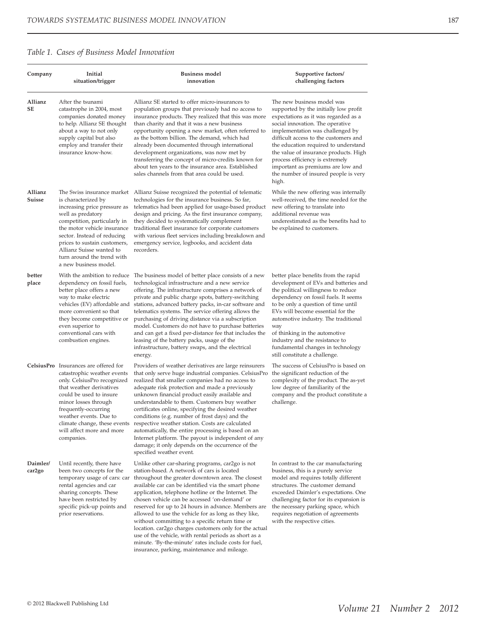# *Table 1. Cases of Business Model Innovation*

| Company                  | Initial<br>situation/trigger                                                                                                                                                                                                                                                                                    | <b>Business model</b><br>innovation                                                                                                                                                                                                                                                                                                                                                                                                                                                                                                                                                                                                                                                                               | Supportive factors/<br>challenging factors                                                                                                                                                                                                                                                                                                                                                                                             |  |  |
|--------------------------|-----------------------------------------------------------------------------------------------------------------------------------------------------------------------------------------------------------------------------------------------------------------------------------------------------------------|-------------------------------------------------------------------------------------------------------------------------------------------------------------------------------------------------------------------------------------------------------------------------------------------------------------------------------------------------------------------------------------------------------------------------------------------------------------------------------------------------------------------------------------------------------------------------------------------------------------------------------------------------------------------------------------------------------------------|----------------------------------------------------------------------------------------------------------------------------------------------------------------------------------------------------------------------------------------------------------------------------------------------------------------------------------------------------------------------------------------------------------------------------------------|--|--|
| Allianz<br>SE            | After the tsunami<br>catastrophe in 2004, most<br>companies donated money<br>to help. Allianz SE thought<br>about a way to not only<br>supply capital but also<br>employ and transfer their<br>insurance know-how.                                                                                              | Allianz SE started to offer micro-insurances to<br>population groups that previously had no access to<br>insurance products. They realized that this was more<br>than charity and that it was a new business<br>opportunity opening a new market, often referred to<br>as the bottom billion. The demand, which had<br>already been documented through international<br>development organizations, was now met by<br>transferring the concept of micro-credits known for<br>about ten years to the insurance area. Established<br>sales channels from that area could be used.                                                                                                                                    | The new business model was<br>supported by the initially low profit<br>expectations as it was regarded as a<br>social innovation. The operative<br>implementation was challenged by<br>difficult access to the customers and<br>the education required to understand<br>the value of insurance products. High<br>process efficiency is extremely<br>important as premiums are low and<br>the number of insured people is very<br>high. |  |  |
| Allianz<br><b>Suisse</b> | is characterized by<br>increasing price pressure as<br>well as predatory<br>competition, particularly in<br>the motor vehicle insurance<br>sector. Instead of reducing<br>prices to sustain customers,<br>Allianz Suisse wanted to<br>turn around the trend with<br>a new business model.                       | The Swiss insurance market Allianz Suisse recognized the potential of telematic<br>technologies for the insurance business. So far,<br>telematics had been applied for usage-based product<br>design and pricing. As the first insurance company,<br>they decided to systematically complement<br>traditional fleet insurance for corporate customers<br>with various fleet services including breakdown and<br>emergency service, logbooks, and accident data<br>recorders.                                                                                                                                                                                                                                      | While the new offering was internally<br>well-received, the time needed for the<br>new offering to translate into<br>additional revenue was<br>underestimated as the benefits had to<br>be explained to customers.                                                                                                                                                                                                                     |  |  |
| better<br>place          | With the ambition to reduce<br>dependency on fossil fuels,<br>better place offers a new<br>way to make electric<br>vehicles (EV) affordable and<br>more convenient so that<br>they become competitive or<br>even superior to<br>conventional cars with<br>combustion engines.                                   | The business model of better place consists of a new<br>technological infrastructure and a new service<br>offering. The infrastructure comprises a network of<br>private and public charge spots, battery-switching<br>stations, advanced battery packs, in-car software and<br>telematics systems. The service offering allows the<br>purchasing of driving distance via a subscription<br>model. Customers do not have to purchase batteries<br>and can get a fixed per-distance fee that includes the<br>leasing of the battery packs, usage of the<br>infrastructure, battery swaps, and the electrical<br>energy.                                                                                            | better place benefits from the rapid<br>development of EVs and batteries and<br>the political willingness to reduce<br>dependency on fossil fuels. It seems<br>to be only a question of time until<br>EVs will become essential for the<br>automotive industry. The traditional<br>way<br>of thinking in the automotive<br>industry and the resistance to<br>fundamental changes in technology<br>still constitute a challenge.        |  |  |
|                          | CelsiusPro Insurances are offered for<br>catastrophic weather events<br>only. CelsiusPro recognized<br>that weather derivatives<br>could be used to insure<br>minor losses through<br>frequently-occurring<br>weather events. Due to<br>climate change, these events<br>will affect more and more<br>companies. | Providers of weather derivatives are large reinsurers<br>that only serve huge industrial companies. CelsiusPro<br>realized that smaller companies had no access to<br>adequate risk protection and made a previously<br>unknown financial product easily available and<br>understandable to them. Customers buy weather<br>certificates online, specifying the desired weather<br>conditions (e.g. number of frost days) and the<br>respective weather station. Costs are calculated<br>automatically, the entire processing is based on an<br>Internet platform. The payout is independent of any<br>damage; it only depends on the occurrence of the<br>specified weather event.                                | The success of CelsiusPro is based on<br>the significant reduction of the<br>complexity of the product. The as-yet<br>low degree of familiarity of the<br>company and the product constitute a<br>challenge.                                                                                                                                                                                                                           |  |  |
| Daimler/<br>car2go       | Until recently, there have<br>been two concepts for the<br>temporary usage of cars: car<br>rental agencies and car<br>sharing concepts. These<br>have been restricted by<br>specific pick-up points and<br>prior reservations.                                                                                  | Unlike other car-sharing programs, car2go is not<br>station-based. A network of cars is located<br>throughout the greater downtown area. The closest<br>available car can be identified via the smart phone<br>application, telephone hotline or the Internet. The<br>chosen vehicle can be accessed 'on-demand' or<br>reserved for up to 24 hours in advance. Members are<br>allowed to use the vehicle for as long as they like,<br>without committing to a specific return time or<br>location. car2go charges customers only for the actual<br>use of the vehicle, with rental periods as short as a<br>minute. 'By-the-minute' rates include costs for fuel,<br>insurance, parking, maintenance and mileage. | In contrast to the car manufacturing<br>business, this is a purely service<br>model and requires totally different<br>structures. The customer demand<br>exceeded Daimler's expectations. One<br>challenging factor for its expansion is<br>the necessary parking space, which<br>requires negotiation of agreements<br>with the respective cities.                                                                                    |  |  |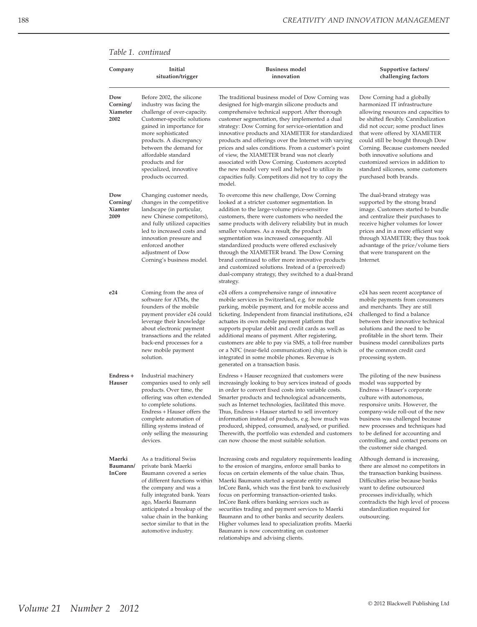*Table 1. continued*

| Company                             | Initial<br>situation/trigger                                                                                                                                                                                                                                                                                          | <b>Business model</b><br>innovation                                                                                                                                                                                                                                                                                                                                                                                                                                                                                                                                                                                                                           | Supportive factors/<br>challenging factors                                                                                                                                                                                                                                                                                                                                                                                        |  |  |
|-------------------------------------|-----------------------------------------------------------------------------------------------------------------------------------------------------------------------------------------------------------------------------------------------------------------------------------------------------------------------|---------------------------------------------------------------------------------------------------------------------------------------------------------------------------------------------------------------------------------------------------------------------------------------------------------------------------------------------------------------------------------------------------------------------------------------------------------------------------------------------------------------------------------------------------------------------------------------------------------------------------------------------------------------|-----------------------------------------------------------------------------------------------------------------------------------------------------------------------------------------------------------------------------------------------------------------------------------------------------------------------------------------------------------------------------------------------------------------------------------|--|--|
| Dow<br>Corning/<br>Xiameter<br>2002 | Before 2002, the silicone<br>industry was facing the<br>challenge of over-capacity.<br>Customer-specific solutions<br>gained in importance for<br>more sophisticated<br>products. A discrepancy<br>between the demand for<br>affordable standard<br>products and for<br>specialized, innovative<br>products occurred. | The traditional business model of Dow Corning was<br>designed for high-margin silicone products and<br>comprehensive technical support. After thorough<br>customer segmentation, they implemented a dual<br>strategy: Dow Corning for service-orientation and<br>innovative products and XIAMETER for standardized<br>products and offerings over the Internet with varying<br>prices and sales conditions. From a customer's point<br>of view, the XIAMETER brand was not clearly<br>associated with Dow Corning. Customers accepted<br>the new model very well and helped to utilize its<br>capacities fully. Competitors did not try to copy the<br>model. | Dow Corning had a globally<br>harmonized IT infrastructure<br>allowing resources and capacities to<br>be shifted flexibly. Cannibalization<br>did not occur; some product lines<br>that were offered by XIAMETER<br>could still be bought through Dow<br>Corning. Because customers needed<br>both innovative solutions and<br>customized services in addition to<br>standard silicones, some customers<br>purchased both brands. |  |  |
| Dow<br>Corning/<br>Xiamter<br>2009  | Changing customer needs,<br>changes in the competitive<br>landscape (in particular,<br>new Chinese competitors),<br>and fully utilized capacities<br>led to increased costs and<br>innovation pressure and<br>enforced another<br>adjustment of Dow<br>Corning's business model.                                      | To overcome this new challenge, Dow Corning<br>looked at a stricter customer segmentation. In<br>addition to the large-volume price-sensitive<br>customers, there were customers who needed the<br>same products with delivery reliability but in much<br>smaller volumes. As a result, the product<br>segmentation was increased consequently. All<br>standardized products were offered exclusively<br>through the XIAMETER brand. The Dow Corning<br>brand continued to offer more innovative products<br>and customized solutions. Instead of a (perceived)<br>dual-company strategy, they switched to a dual-brand<br>strategy.                          | The dual-brand strategy was<br>supported by the strong brand<br>image. Customers started to bundle<br>and centralize their purchases to<br>receive higher volumes for lower<br>prices and in a more efficient way<br>through XIAMETER; they thus took<br>advantage of the price/volume tiers<br>that were transparent on the<br>Internet.                                                                                         |  |  |
| e24                                 | Coming from the area of<br>software for ATMs, the<br>founders of the mobile<br>payment provider e24 could<br>leverage their knowledge<br>about electronic payment<br>transactions and the related<br>back-end processes for a<br>new mobile payment<br>solution.                                                      | e24 offers a comprehensive range of innovative<br>mobile services in Switzerland, e.g. for mobile<br>parking, mobile payment, and for mobile access and<br>ticketing. Independent from financial institutions, e24<br>actuates its own mobile payment platform that<br>supports popular debit and credit cards as well as<br>additional means of payment. After registering,<br>customers are able to pay via SMS, a toll-free number<br>or a NFC (near-field communication) chip, which is<br>integrated in some mobile phones. Revenue is<br>generated on a transaction basis.                                                                              | e24 has seen recent acceptance of<br>mobile payments from consumers<br>and merchants. They are still<br>challenged to find a balance<br>between their innovative technical<br>solutions and the need to be<br>profitable in the short term. Their<br>business model cannibalizes parts<br>of the common credit card<br>processing system.                                                                                         |  |  |
| Endress +<br><b>Hauser</b>          | Industrial machinery<br>companies used to only sell<br>products. Over time, the<br>offering was often extended<br>to complete solutions.<br>Endress + Hauser offers the<br>complete automation of<br>filling systems instead of<br>only selling the measuring<br>devices.                                             | Endress + Hauser recognized that customers were<br>increasingly looking to buy services instead of goods<br>in order to convert fixed costs into variable costs.<br>Smarter products and technological advancements,<br>such as Internet technologies, facilitated this move.<br>Thus, Endress + Hauser started to sell inventory<br>information instead of products, e.g. how much was<br>produced, shipped, consumed, analysed, or purified.<br>Therewith, the portfolio was extended and customers<br>can now choose the most suitable solution.                                                                                                           | The piloting of the new business<br>model was supported by<br>Endress + Hauser's corporate<br>culture with autonomous,<br>responsive units. However, the<br>company-wide roll-out of the new<br>business was challenged because<br>new processes and techniques had<br>to be defined for accounting and<br>controlling, and contact persons on<br>the customer side changed.                                                      |  |  |
| Maerki<br>Baumann/<br>InCore        | As a traditional Swiss<br>private bank Maerki<br>Baumann covered a series<br>of different functions within<br>the company and was a<br>fully integrated bank. Years<br>ago, Maerki Baumann<br>anticipated a breakup of the<br>value chain in the banking<br>sector similar to that in the<br>automotive industry.     | Increasing costs and regulatory requirements leading<br>to the erosion of margins, enforce small banks to<br>focus on certain elements of the value chain. Thus,<br>Maerki Baumann started a separate entity named<br>InCore Bank, which was the first bank to exclusively<br>focus on performing transaction-oriented tasks.<br>InCore Bank offers banking services such as<br>securities trading and payment services to Maerki<br>Baumann and to other banks and security dealers.<br>Higher volumes lead to specialization profits. Maerki<br>Baumann is now concentrating on customer<br>relationships and advising clients.                             | Although demand is increasing,<br>there are almost no competitors in<br>the transaction banking business.<br>Difficulties arise because banks<br>want to define outsourced<br>processes individually, which<br>contradicts the high level of process<br>standardization required for<br>outsourcing.                                                                                                                              |  |  |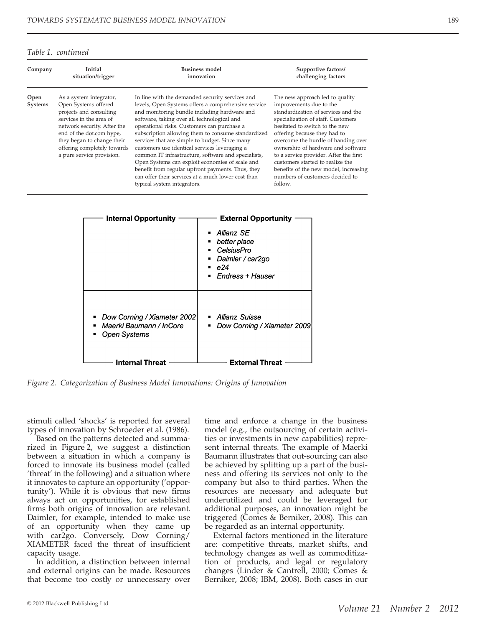#### *Table 1. continued*

| Company                | Initial                                                                                                                                                                                                                                                    | Business model                                                                                                                                                                                                                                                                                                                                                                                                                                                                                                                                                                                                                                                    | Supportive factors/                                                                                                                                                                                                                                                                                                                                                                                                                                         |  |  |
|------------------------|------------------------------------------------------------------------------------------------------------------------------------------------------------------------------------------------------------------------------------------------------------|-------------------------------------------------------------------------------------------------------------------------------------------------------------------------------------------------------------------------------------------------------------------------------------------------------------------------------------------------------------------------------------------------------------------------------------------------------------------------------------------------------------------------------------------------------------------------------------------------------------------------------------------------------------------|-------------------------------------------------------------------------------------------------------------------------------------------------------------------------------------------------------------------------------------------------------------------------------------------------------------------------------------------------------------------------------------------------------------------------------------------------------------|--|--|
|                        | situation/trigger                                                                                                                                                                                                                                          | innovation                                                                                                                                                                                                                                                                                                                                                                                                                                                                                                                                                                                                                                                        | challenging factors                                                                                                                                                                                                                                                                                                                                                                                                                                         |  |  |
| Open<br><b>Systems</b> | As a system integrator,<br>Open Systems offered<br>projects and consulting<br>services in the area of<br>network security. After the<br>end of the dot.com hype,<br>they began to change their<br>offering completely towards<br>a pure service provision. | In line with the demanded security services and<br>levels, Open Systems offers a comprehensive service<br>and monitoring bundle including hardware and<br>software, taking over all technological and<br>operational risks. Customers can purchase a<br>subscription allowing them to consume standardized<br>services that are simple to budget. Since many<br>customers use identical services leveraging a<br>common IT infrastructure, software and specialists,<br>Open Systems can exploit economies of scale and<br>benefit from regular upfront payments. Thus, they<br>can offer their services at a much lower cost than<br>typical system integrators. | The new approach led to quality<br>improvements due to the<br>standardization of services and the<br>specialization of staff. Customers<br>hesitated to switch to the new<br>offering because they had to<br>overcome the hurdle of handing over<br>ownership of hardware and software<br>to a service provider. After the first<br>customers started to realize the<br>benefits of the new model, increasing<br>numbers of customers decided to<br>follow. |  |  |

| <b>Internal Opportunity</b>                                                        | <b>External Opportunity</b>                                                                                                 |  |  |
|------------------------------------------------------------------------------------|-----------------------------------------------------------------------------------------------------------------------------|--|--|
|                                                                                    | Allianz SE<br>$\blacksquare$<br>better place<br>CelsiusPro<br>Daimler / car2go<br>e24<br>$\blacksquare$<br>Endress + Hauser |  |  |
| Dow Corning / Xiameter 2002<br>Maerki Baumann / InCore<br><b>Open Systems</b><br>٠ | ▪ Allianz Suisse<br>Dow Corning / Xiameter 2009<br>п                                                                        |  |  |
| Internal Threat                                                                    | External Threat                                                                                                             |  |  |

*Figure 2. Categorization of Business Model Innovations: Origins of Innovation*

stimuli called 'shocks' is reported for several types of innovation by Schroeder et al. (1986).

Based on the patterns detected and summarized in Figure 2, we suggest a distinction between a situation in which a company is forced to innovate its business model (called 'threat' in the following) and a situation where it innovates to capture an opportunity ('opportunity'). While it is obvious that new firms always act on opportunities, for established firms both origins of innovation are relevant. Daimler, for example, intended to make use of an opportunity when they came up with car2go. Conversely, Dow Corning/ XIAMETER faced the threat of insufficient capacity usage.

In addition, a distinction between internal and external origins can be made. Resources that become too costly or unnecessary over time and enforce a change in the business model (e.g., the outsourcing of certain activities or investments in new capabilities) represent internal threats. The example of Maerki Baumann illustrates that out-sourcing can also be achieved by splitting up a part of the business and offering its services not only to the company but also to third parties. When the resources are necessary and adequate but underutilized and could be leveraged for additional purposes, an innovation might be triggered (Comes & Berniker, 2008). This can be regarded as an internal opportunity.

External factors mentioned in the literature are: competitive threats, market shifts, and technology changes as well as commoditization of products, and legal or regulatory changes (Linder & Cantrell, 2000; Comes & Berniker, 2008; IBM, 2008). Both cases in our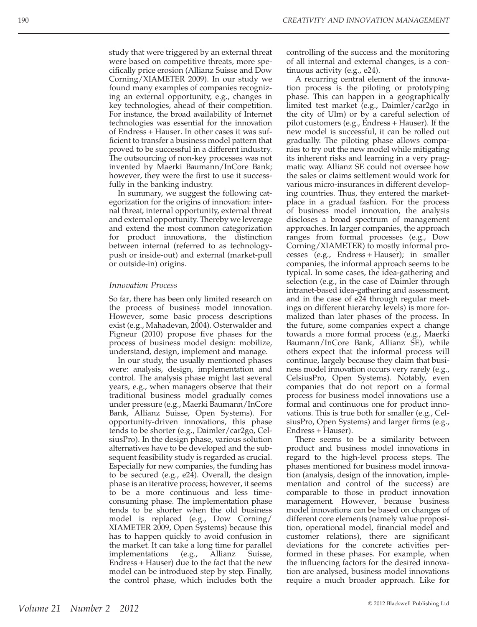study that were triggered by an external threat were based on competitive threats, more specifically price erosion (Allianz Suisse and Dow Corning/XIAMETER 2009). In our study we found many examples of companies recognizing an external opportunity, e.g., changes in key technologies, ahead of their competition. For instance, the broad availability of Internet technologies was essential for the innovation of Endress + Hauser. In other cases it was sufficient to transfer a business model pattern that proved to be successful in a different industry. The outsourcing of non-key processes was not invented by Maerki Baumann/InCore Bank; however, they were the first to use it successfully in the banking industry.

In summary, we suggest the following categorization for the origins of innovation: internal threat, internal opportunity, external threat and external opportunity. Thereby we leverage and extend the most common categorization for product innovations, the distinction between internal (referred to as technologypush or inside-out) and external (market-pull or outside-in) origins.

#### *Innovation Process*

So far, there has been only limited research on the process of business model innovation. However, some basic process descriptions exist (e.g., Mahadevan, 2004). Osterwalder and Pigneur (2010) propose five phases for the process of business model design: mobilize, understand, design, implement and manage.

In our study, the usually mentioned phases were: analysis, design, implementation and control. The analysis phase might last several years, e.g., when managers observe that their traditional business model gradually comes under pressure (e.g., Maerki Baumann/InCore Bank, Allianz Suisse, Open Systems). For opportunity-driven innovations, this phase tends to be shorter (e.g., Daimler/car2go, CelsiusPro). In the design phase, various solution alternatives have to be developed and the subsequent feasibility study is regarded as crucial. Especially for new companies, the funding has to be secured (e.g., e24). Overall, the design phase is an iterative process; however, it seems to be a more continuous and less timeconsuming phase. The implementation phase tends to be shorter when the old business model is replaced (e.g., Dow Corning/ XIAMETER 2009, Open Systems) because this has to happen quickly to avoid confusion in the market. It can take a long time for parallel implementations (e.g., Allianz Suisse, Endress + Hauser) due to the fact that the new model can be introduced step by step. Finally, the control phase, which includes both the

controlling of the success and the monitoring of all internal and external changes, is a continuous activity (e.g., e24).

A recurring central element of the innovation process is the piloting or prototyping phase. This can happen in a geographically limited test market (e.g., Daimler/car2go in the city of Ulm) or by a careful selection of pilot customers (e.g., Endress + Hauser). If the new model is successful, it can be rolled out gradually. The piloting phase allows companies to try out the new model while mitigating its inherent risks and learning in a very pragmatic way. Allianz SE could not oversee how the sales or claims settlement would work for various micro-insurances in different developing countries. Thus, they entered the marketplace in a gradual fashion. For the process of business model innovation, the analysis discloses a broad spectrum of management approaches. In larger companies, the approach ranges from formal processes (e.g., Dow Corning/XIAMETER) to mostly informal processes (e.g., Endress + Hauser); in smaller companies, the informal approach seems to be typical. In some cases, the idea-gathering and selection (e.g., in the case of Daimler through intranet-based idea-gathering and assessment, and in the case of e24 through regular meetings on different hierarchy levels) is more formalized than later phases of the process. In the future, some companies expect a change towards a more formal process (e.g., Maerki Baumann/InCore Bank, Allianz SE), while others expect that the informal process will continue, largely because they claim that business model innovation occurs very rarely (e.g., CelsiusPro, Open Systems). Notably, even companies that do not report on a formal process for business model innovations use a formal and continuous one for product innovations. This is true both for smaller (e.g., CelsiusPro, Open Systems) and larger firms (e.g., Endress + Hauser).

There seems to be a similarity between product and business model innovations in regard to the high-level process steps. The phases mentioned for business model innovation (analysis, design of the innovation, implementation and control of the success) are comparable to those in product innovation management. However, because business model innovations can be based on changes of different core elements (namely value proposition, operational model, financial model and customer relations), there are significant deviations for the concrete activities performed in these phases. For example, when the influencing factors for the desired innovation are analysed, business model innovations require a much broader approach. Like for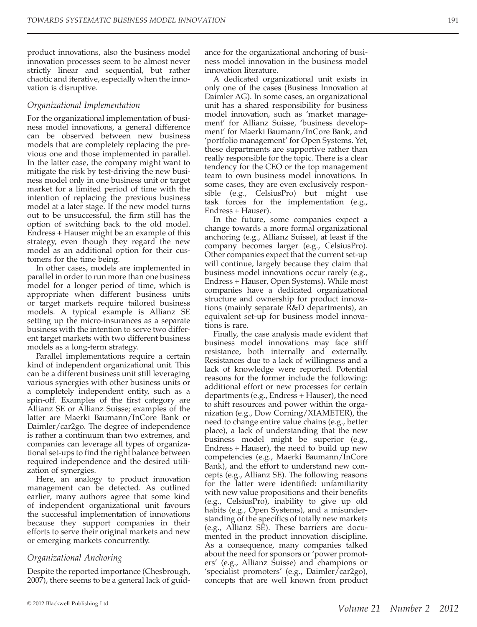product innovations, also the business model innovation processes seem to be almost never strictly linear and sequential, but rather chaotic and iterative, especially when the innovation is disruptive.

#### *Organizational Implementation*

For the organizational implementation of business model innovations, a general difference can be observed between new business models that are completely replacing the previous one and those implemented in parallel. In the latter case, the company might want to mitigate the risk by test-driving the new business model only in one business unit or target market for a limited period of time with the intention of replacing the previous business model at a later stage. If the new model turns out to be unsuccessful, the firm still has the option of switching back to the old model. Endress + Hauser might be an example of this strategy, even though they regard the new model as an additional option for their customers for the time being.

In other cases, models are implemented in parallel in order to run more than one business model for a longer period of time, which is appropriate when different business units or target markets require tailored business models. A typical example is Allianz SE setting up the micro-insurances as a separate business with the intention to serve two different target markets with two different business models as a long-term strategy.

Parallel implementations require a certain kind of independent organizational unit. This can be a different business unit still leveraging various synergies with other business units or a completely independent entity, such as a spin-off. Examples of the first category are Allianz SE or Allianz Suisse; examples of the latter are Maerki Baumann/InCore Bank or Daimler/car2go. The degree of independence is rather a continuum than two extremes, and companies can leverage all types of organizational set-ups to find the right balance between required independence and the desired utilization of synergies.

Here, an analogy to product innovation management can be detected. As outlined earlier, many authors agree that some kind of independent organizational unit favours the successful implementation of innovations because they support companies in their efforts to serve their original markets and new or emerging markets concurrently.

#### *Organizational Anchoring*

Despite the reported importance (Chesbrough, 2007), there seems to be a general lack of guid-

ance for the organizational anchoring of business model innovation in the business model innovation literature.

A dedicated organizational unit exists in only one of the cases (Business Innovation at Daimler AG). In some cases, an organizational unit has a shared responsibility for business model innovation, such as 'market management' for Allianz Suisse, 'business development' for Maerki Baumann/InCore Bank, and 'portfolio management' for Open Systems. Yet, these departments are supportive rather than really responsible for the topic. There is a clear tendency for the CEO or the top management team to own business model innovations. In some cases, they are even exclusively responsible (e.g., CelsiusPro) but might use task forces for the implementation (e.g., Endress + Hauser).

In the future, some companies expect a change towards a more formal organizational anchoring (e.g., Allianz Suisse), at least if the company becomes larger (e.g., CelsiusPro). Other companies expect that the current set-up will continue, largely because they claim that business model innovations occur rarely (e.g., Endress + Hauser, Open Systems). While most companies have a dedicated organizational structure and ownership for product innovations (mainly separate R&D departments), an equivalent set-up for business model innovations is rare.

Finally, the case analysis made evident that business model innovations may face stiff resistance, both internally and externally. Resistances due to a lack of willingness and a lack of knowledge were reported. Potential reasons for the former include the following: additional effort or new processes for certain departments (e.g., Endress + Hauser), the need to shift resources and power within the organization (e.g., Dow Corning/XIAMETER), the need to change entire value chains (e.g., better place), a lack of understanding that the new business model might be superior (e.g., Endress + Hauser), the need to build up new competencies (e.g., Maerki Baumann/InCore Bank), and the effort to understand new concepts (e.g., Allianz SE). The following reasons for the latter were identified: unfamiliarity with new value propositions and their benefits (e.g., CelsiusPro), inability to give up old habits (e.g., Open Systems), and a misunderstanding of the specifics of totally new markets (e.g., Allianz SE). These barriers are documented in the product innovation discipline. As a consequence, many companies talked about the need for sponsors or 'power promoters' (e.g., Allianz Suisse) and champions or 'specialist promoters' (e.g., Daimler/car2go), concepts that are well known from product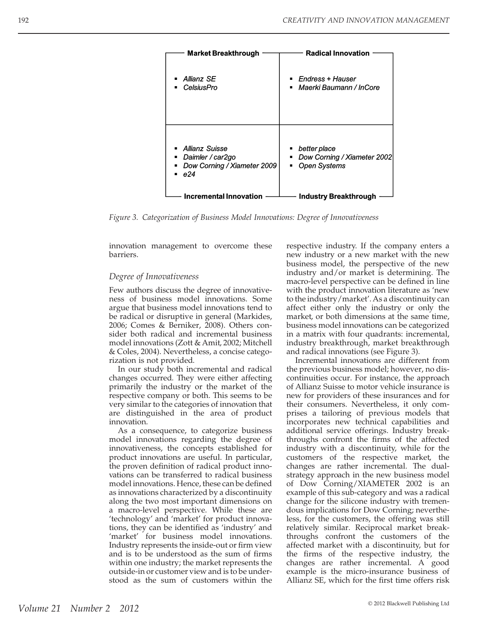| <b>Market Breakthrough</b>                                                         | <b>Radical Innovation</b>                                               |  |  |  |
|------------------------------------------------------------------------------------|-------------------------------------------------------------------------|--|--|--|
| Allianz SE<br>CelsiusPro                                                           | Endress + Hauser<br>• Maerki Baumann / InCore                           |  |  |  |
| Allianz Suisse<br>Daimler / car2go<br>٠<br>Dow Corning / Xiameter 2009<br>٠<br>e24 | better place<br>Dow Corning / Xiameter 2002<br><b>Open Systems</b><br>٠ |  |  |  |
| Incremental Innovation                                                             | Industrv Breakthrough                                                   |  |  |  |

*Figure 3. Categorization of Business Model Innovations: Degree of Innovativeness*

innovation management to overcome these barriers.

### *Degree of Innovativeness*

Few authors discuss the degree of innovativeness of business model innovations. Some argue that business model innovations tend to be radical or disruptive in general (Markides, 2006; Comes & Berniker, 2008). Others consider both radical and incremental business model innovations (Zott & Amit, 2002; Mitchell & Coles, 2004). Nevertheless, a concise categorization is not provided.

In our study both incremental and radical changes occurred. They were either affecting primarily the industry or the market of the respective company or both. This seems to be very similar to the categories of innovation that are distinguished in the area of product innovation.

As a consequence, to categorize business model innovations regarding the degree of innovativeness, the concepts established for product innovations are useful. In particular, the proven definition of radical product innovations can be transferred to radical business model innovations. Hence, these can be defined as innovations characterized by a discontinuity along the two most important dimensions on a macro-level perspective. While these are 'technology' and 'market' for product innovations, they can be identified as 'industry' and 'market' for business model innovations. Industry represents the inside-out or firm view and is to be understood as the sum of firms within one industry; the market represents the outside-in or customer view and is to be understood as the sum of customers within the respective industry. If the company enters a new industry or a new market with the new business model, the perspective of the new industry and/or market is determining. The macro-level perspective can be defined in line with the product innovation literature as 'new to the industry/market'. As a discontinuity can affect either only the industry or only the market, or both dimensions at the same time, business model innovations can be categorized in a matrix with four quadrants: incremental, industry breakthrough, market breakthrough and radical innovations (see Figure 3).

Incremental innovations are different from the previous business model; however, no discontinuities occur. For instance, the approach of Allianz Suisse to motor vehicle insurance is new for providers of these insurances and for their consumers. Nevertheless, it only comprises a tailoring of previous models that incorporates new technical capabilities and additional service offerings. Industry breakthroughs confront the firms of the affected industry with a discontinuity, while for the customers of the respective market, the changes are rather incremental. The dualstrategy approach in the new business model of Dow Corning/XIAMETER 2002 is an example of this sub-category and was a radical change for the silicone industry with tremendous implications for Dow Corning; nevertheless, for the customers, the offering was still relatively similar. Reciprocal market breakthroughs confront the customers of the affected market with a discontinuity, but for the firms of the respective industry, the changes are rather incremental. A good example is the micro-insurance business of Allianz SE, which for the first time offers risk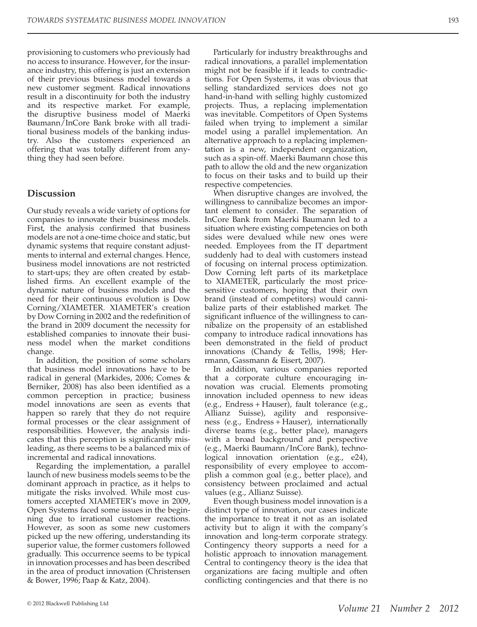provisioning to customers who previously had no access to insurance. However, for the insurance industry, this offering is just an extension of their previous business model towards a new customer segment. Radical innovations result in a discontinuity for both the industry and its respective market. For example, the disruptive business model of Maerki Baumann/InCore Bank broke with all traditional business models of the banking industry. Also the customers experienced an offering that was totally different from anything they had seen before.

# **Discussion**

Our study reveals a wide variety of options for companies to innovate their business models. First, the analysis confirmed that business models are not a one-time choice and static, but dynamic systems that require constant adjustments to internal and external changes. Hence, business model innovations are not restricted to start-ups; they are often created by established firms. An excellent example of the dynamic nature of business models and the need for their continuous evolution is Dow Corning/XIAMETER. XIAMETER's creation by Dow Corning in 2002 and the redefinition of the brand in 2009 document the necessity for established companies to innovate their business model when the market conditions change.

In addition, the position of some scholars that business model innovations have to be radical in general (Markides, 2006; Comes & Berniker, 2008) has also been identified as a common perception in practice; business model innovations are seen as events that happen so rarely that they do not require formal processes or the clear assignment of responsibilities. However, the analysis indicates that this perception is significantly misleading, as there seems to be a balanced mix of incremental and radical innovations.

Regarding the implementation, a parallel launch of new business models seems to be the dominant approach in practice, as it helps to mitigate the risks involved. While most customers accepted XIAMETER's move in 2009, Open Systems faced some issues in the beginning due to irrational customer reactions. However, as soon as some new customers picked up the new offering, understanding its superior value, the former customers followed gradually. This occurrence seems to be typical in innovation processes and has been described in the area of product innovation (Christensen & Bower, 1996; Paap & Katz, 2004).

Particularly for industry breakthroughs and radical innovations, a parallel implementation might not be feasible if it leads to contradictions. For Open Systems, it was obvious that selling standardized services does not go hand-in-hand with selling highly customized projects. Thus, a replacing implementation was inevitable. Competitors of Open Systems failed when trying to implement a similar model using a parallel implementation. An alternative approach to a replacing implementation is a new, independent organization, such as a spin-off. Maerki Baumann chose this path to allow the old and the new organization to focus on their tasks and to build up their respective competencies.

When disruptive changes are involved, the willingness to cannibalize becomes an important element to consider. The separation of InCore Bank from Maerki Baumann led to a situation where existing competencies on both sides were devalued while new ones were needed. Employees from the IT department suddenly had to deal with customers instead of focusing on internal process optimization. Dow Corning left parts of its marketplace to XIAMETER, particularly the most pricesensitive customers, hoping that their own brand (instead of competitors) would cannibalize parts of their established market. The significant influence of the willingness to cannibalize on the propensity of an established company to introduce radical innovations has been demonstrated in the field of product innovations (Chandy & Tellis, 1998; Herrmann, Gassmann & Eisert, 2007).

In addition, various companies reported that a corporate culture encouraging innovation was crucial. Elements promoting innovation included openness to new ideas (e.g., Endress + Hauser), fault tolerance (e.g., Allianz Suisse), agility and responsiveness (e.g., Endress + Hauser), internationally diverse teams (e.g., better place), managers with a broad background and perspective (e.g., Maerki Baumann/InCore Bank), technological innovation orientation (e.g., e24), responsibility of every employee to accomplish a common goal (e.g., better place), and consistency between proclaimed and actual values (e.g., Allianz Suisse).

Even though business model innovation is a distinct type of innovation, our cases indicate the importance to treat it not as an isolated activity but to align it with the company's innovation and long-term corporate strategy. Contingency theory supports a need for a holistic approach to innovation management. Central to contingency theory is the idea that organizations are facing multiple and often conflicting contingencies and that there is no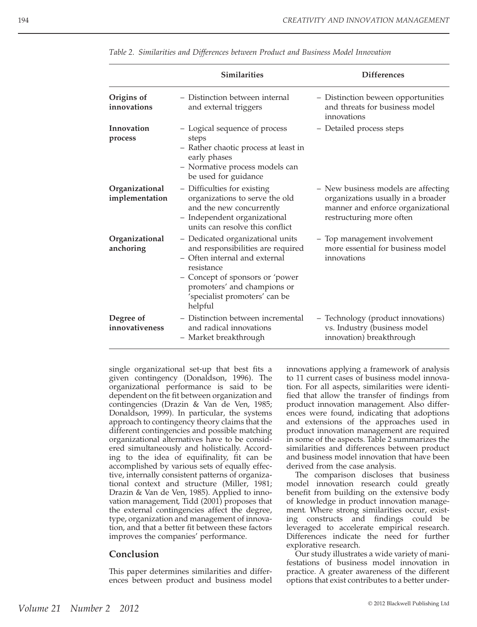|                                  | <b>Similarities</b>                                                                                                                                                                                                                | <b>Differences</b>                                                                                                                         |  |  |  |
|----------------------------------|------------------------------------------------------------------------------------------------------------------------------------------------------------------------------------------------------------------------------------|--------------------------------------------------------------------------------------------------------------------------------------------|--|--|--|
| Origins of<br>innovations        | - Distinction between internal<br>and external triggers                                                                                                                                                                            | - Distinction beween opportunities<br>and threats for business model<br>innovations                                                        |  |  |  |
| Innovation<br>process            | - Logical sequence of process<br>steps<br>- Rather chaotic process at least in<br>early phases<br>- Normative process models can<br>be used for guidance                                                                           | - Detailed process steps                                                                                                                   |  |  |  |
| Organizational<br>implementation | - Difficulties for existing<br>organizations to serve the old<br>and the new concurrently<br>- Independent organizational<br>units can resolve this conflict                                                                       | - New business models are affecting<br>organizations usually in a broader<br>manner and enforce organizational<br>restructuring more often |  |  |  |
| Organizational<br>anchoring      | - Dedicated organizational units<br>and responsibilities are required<br>- Often internal and external<br>resistance<br>- Concept of sponsors or 'power<br>promoters' and champions or<br>'specialist promoters' can be<br>helpful | - Top management involvement<br>more essential for business model<br>innovations                                                           |  |  |  |
| Degree of<br>innovativeness      | - Distinction between incremental<br>and radical innovations<br>- Market breakthrough                                                                                                                                              | - Technology (product innovations)<br>vs. Industry (business model<br>innovation) breakthrough                                             |  |  |  |

|  |  | Table 2. Similarities and Differences between Product and Business Model Innovation |  |  |  |  |  |
|--|--|-------------------------------------------------------------------------------------|--|--|--|--|--|
|--|--|-------------------------------------------------------------------------------------|--|--|--|--|--|

single organizational set-up that best fits a given contingency (Donaldson, 1996). The organizational performance is said to be dependent on the fit between organization and contingencies (Drazin & Van de Ven, 1985; Donaldson, 1999). In particular, the systems approach to contingency theory claims that the different contingencies and possible matching organizational alternatives have to be considered simultaneously and holistically. According to the idea of equifinality, fit can be accomplished by various sets of equally effective, internally consistent patterns of organizational context and structure (Miller, 1981; Drazin & Van de Ven, 1985). Applied to innovation management, Tidd (2001) proposes that the external contingencies affect the degree, type, organization and management of innovation, and that a better fit between these factors improves the companies' performance.

# **Conclusion**

This paper determines similarities and differences between product and business model innovations applying a framework of analysis to 11 current cases of business model innovation. For all aspects, similarities were identified that allow the transfer of findings from product innovation management. Also differences were found, indicating that adoptions and extensions of the approaches used in product innovation management are required in some of the aspects. Table 2 summarizes the similarities and differences between product and business model innovation that have been derived from the case analysis.

The comparison discloses that business model innovation research could greatly benefit from building on the extensive body of knowledge in product innovation management. Where strong similarities occur, existing constructs and findings could be leveraged to accelerate empirical research. Differences indicate the need for further explorative research.

Our study illustrates a wide variety of manifestations of business model innovation in practice. A greater awareness of the different options that exist contributes to a better under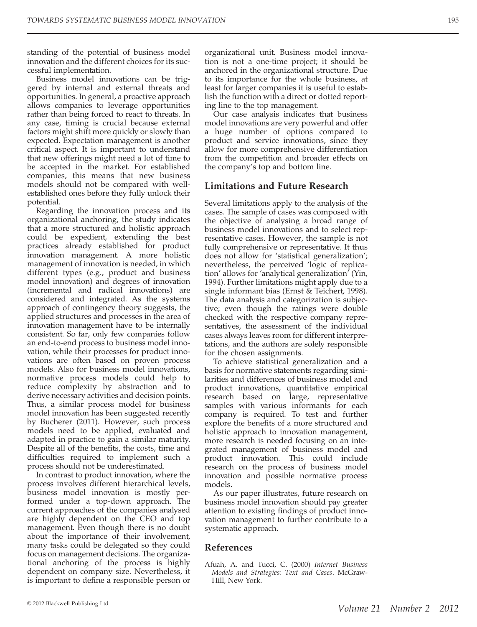standing of the potential of business model innovation and the different choices for its successful implementation.

Business model innovations can be triggered by internal and external threats and opportunities. In general, a proactive approach allows companies to leverage opportunities rather than being forced to react to threats. In any case, timing is crucial because external factors might shift more quickly or slowly than expected. Expectation management is another critical aspect. It is important to understand that new offerings might need a lot of time to be accepted in the market. For established companies, this means that new business models should not be compared with wellestablished ones before they fully unlock their potential.

Regarding the innovation process and its organizational anchoring, the study indicates that a more structured and holistic approach could be expedient, extending the best practices already established for product innovation management. A more holistic management of innovation is needed, in which different types (e.g., product and business model innovation) and degrees of innovation (incremental and radical innovations) are considered and integrated. As the systems approach of contingency theory suggests, the applied structures and processes in the area of innovation management have to be internally consistent. So far, only few companies follow an end-to-end process to business model innovation, while their processes for product innovations are often based on proven process models. Also for business model innovations, normative process models could help to reduce complexity by abstraction and to derive necessary activities and decision points. Thus, a similar process model for business model innovation has been suggested recently by Bucherer (2011). However, such process models need to be applied, evaluated and adapted in practice to gain a similar maturity. Despite all of the benefits, the costs, time and difficulties required to implement such a process should not be underestimated.

In contrast to product innovation, where the process involves different hierarchical levels, business model innovation is mostly performed under a top-down approach. The current approaches of the companies analysed are highly dependent on the CEO and top management. Even though there is no doubt about the importance of their involvement, many tasks could be delegated so they could focus on management decisions. The organizational anchoring of the process is highly dependent on company size. Nevertheless, it is important to define a responsible person or

organizational unit. Business model innovation is not a one-time project; it should be anchored in the organizational structure. Due to its importance for the whole business, at least for larger companies it is useful to establish the function with a direct or dotted reporting line to the top management.

Our case analysis indicates that business model innovations are very powerful and offer a huge number of options compared to product and service innovations, since they allow for more comprehensive differentiation from the competition and broader effects on the company's top and bottom line.

#### **Limitations and Future Research**

Several limitations apply to the analysis of the cases. The sample of cases was composed with the objective of analysing a broad range of business model innovations and to select representative cases. However, the sample is not fully comprehensive or representative. It thus does not allow for 'statistical generalization'; nevertheless, the perceived 'logic of replication' allows for 'analytical generalization' (Yin, 1994). Further limitations might apply due to a single informant bias (Ernst & Teichert, 1998). The data analysis and categorization is subjective; even though the ratings were double checked with the respective company representatives, the assessment of the individual cases always leaves room for different interpretations, and the authors are solely responsible for the chosen assignments.

To achieve statistical generalization and a basis for normative statements regarding similarities and differences of business model and product innovations, quantitative empirical research based on large, representative samples with various informants for each company is required. To test and further explore the benefits of a more structured and holistic approach to innovation management, more research is needed focusing on an integrated management of business model and product innovation. This could include research on the process of business model innovation and possible normative process models.

As our paper illustrates, future research on business model innovation should pay greater attention to existing findings of product innovation management to further contribute to a systematic approach.

#### **References**

Afuah, A. and Tucci, C. (2000) *Internet Business Models and Strategies: Text and Cases*. McGraw-Hill, New York.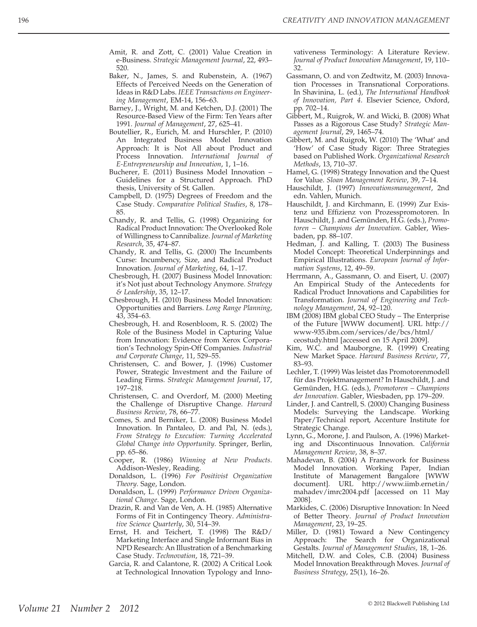Amit, R. and Zott, C. (2001) Value Creation in e-Business. *Strategic Management Journal*, 22, 493–

Baker, N., James, S. and Rubenstein, A. (1967) Effects of Perceived Needs on the Generation of Ideas in R&D Labs. *IEEE Transactions on Engineer-*

Barney, J., Wright, M. and Ketchen, D.J. (2001) The Resource-Based View of the Firm: Ten Years after

1991. *Journal of Management*, 27, 625–41. Boutellier, R., Eurich, M. and Hurschler, P. (2010) An Integrated Business Model Innovation Approach: It is Not All about Product and Process Innovation. *International Journal of E-Entrepreneurship and Innovation*, 1, 1–16. Bucherer, E. (2011) Business Model Innovation – Guidelines for a Structured Approach. PhD

*ing Management*, EM-14, 156–63.

thesis, University of St. Gallen.

520.

- 85. Chandy, R. and Tellis, G. (1998) Organizing for Radical Product Innovation: The Overlooked Role of Willingness to Cannibalize. *Journal of Marketing Research*, 35, 474–87.
- Chandy, R. and Tellis, G. (2000) The Incumbents Curse: Incumbency, Size, and Radical Product Innovation. *Journal of Marketing*, 64, 1–17.
- Chesbrough, H. (2007) Business Model Innovation: it's Not just about Technology Anymore. *Strategy & Leadership*, 35, 12–17.
- Chesbrough, H. (2010) Business Model Innovation: Opportunities and Barriers. *Long Range Planning*, 43, 354–63.
- Chesbrough, H. and Rosenbloom, R. S. (2002) The Role of the Business Model in Capturing Value from Innovation: Evidence from Xerox Corporation's Technology Spin-Off Companies. *Industrial and Corporate Change*, 11, 529–55.
- Christensen, C. and Bower, J. (1996) Customer Power, Strategic Investment and the Failure of Leading Firms. *Strategic Management Journal*, 17, 197–218.
- Christensen, C. and Overdorf, M. (2000) Meeting the Challenge of Disruptive Change. *Harvard Business Review*, 78, 66–77.
- Comes, S. and Berniker, L. (2008) Business Model Innovation. In Pantaleo, D. and Pal, N. (eds.), *From Strategy to Execution: Turning Accelerated Global Change into Opportunity*. Springer, Berlin, pp. 65–86.
- Cooper, R. (1986) *Winning at New Products*. Addison-Wesley, Reading.
- Donaldson, L. (1996) *For Positivist Organization Theory*. Sage, London.
- Donaldson, L. (1999) *Performance Driven Organizational Change*. Sage, London.
- Drazin, R. and Van de Ven, A. H. (1985) Alternative Forms of Fit in Contingency Theory. *Administrative Science Quarterly*, 30, 514–39.
- Ernst, H. and Teichert, T. (1998) The R&D/ Marketing Interface and Single Informant Bias in NPD Research: An Illustration of a Benchmarking Case Study. *Technovation*, 18, 721–39.
- Garcia, R. and Calantone, R. (2002) A Critical Look at Technological Innovation Typology and Inno-

vativeness Terminology: A Literature Review. *Journal of Product Innovation Management*, 19, 110– 32.

- Gassmann, O. and von Zedtwitz, M. (2003) Innovation Processes in Transnational Corporations. In Shavinina, L. (ed.), *The International Handbook of Innovation, Part 4*. Elsevier Science, Oxford, pp. 702–14.
- Gibbert, M., Ruigrok, W. and Wicki, B. (2008) What Passes as a Rigorous Case Study? *Strategic Management Journal*, 29, 1465–74.
- Gibbert, M. and Ruigrok, W. (2010) The 'What' and 'How' of Case Study Rigor: Three Strategies based on Published Work. *Organizational Research Methods*, 13, 710–37.
- Hamel, G. (1998) Strategy Innovation and the Quest for Value. *Sloan Management Review*, 39, 7–14.
- Hauschildt, J. (1997) *Innovationsmanagement*, 2nd edn. Vahlen, Munich.
- Hauschildt, J. and Kirchmann, E. (1999) Zur Existenz und Effizienz von Prozesspromotoren. In Hauschildt, J. and Gemünden, H.G. (eds.), *Promotoren – Champions der Innovation*. Gabler, Wiesbaden, pp. 88–107.
- Hedman, J. and Kalling, T. (2003) The Business Model Concept: Theoretical Underpinnings and Empirical Illustrations. *European Journal of Information Systems*, 12, 49–59.
- Herrmann, A., Gassmann, O. and Eisert, U. (2007) An Empirical Study of the Antecedents for Radical Product Innovations and Capabilities for Transformation. *Journal of Engineering and Technology Management*, 24, 92–120.
- IBM (2008) IBM global CEO Study The Enterprise of the Future [WWW document]. URL http:// www-935.ibm.com/services/de/bcs/html/ ceostudy.html [accessed on 15 April 2009].
- Kim, W.C. and Mauborgne, R. (1999) Creating New Market Space. *Harvard Business Review*, 77, 83–93.
- Lechler, T. (1999) Was leistet das Promotorenmodell für das Projektmanagement? In Hauschildt, J. and Gemünden, H.G. (eds.), *Promotoren – Champions der Innovation*. Gabler, Wiesbaden, pp. 179–209.
- Linder, J. and Cantrell, S. (2000) Changing Business Models: Surveying the Landscape. Working Paper/Technical report, Accenture Institute for Strategic Change.
- Lynn, G., Morone, J. and Paulson, A. (1996) Marketing and Discontinuous Innovation. *California Management Review*, 38, 8–37.
- Mahadevan, B. (2004) A Framework for Business Model Innovation. Working Paper, Indian Institute of Management Bangalore [WWW document]. URL http://www.iimb.ernet.in/ mahadev/imrc2004.pdf [accessed on 11 May 2008].
- Markides, C. (2006) Disruptive Innovation: In Need of Better Theory. *Journal of Product Innovation Management*, 23, 19–25.
- Miller, D. (1981) Toward a New Contingency Approach: The Search for Organizational Gestalts. *Journal of Management Studies*, 18, 1–26.
- Mitchell, D.W. and Coles, C.B. (2004) Business Model Innovation Breakthrough Moves. *Journal of Business Strategy*, 25(1), 16–26.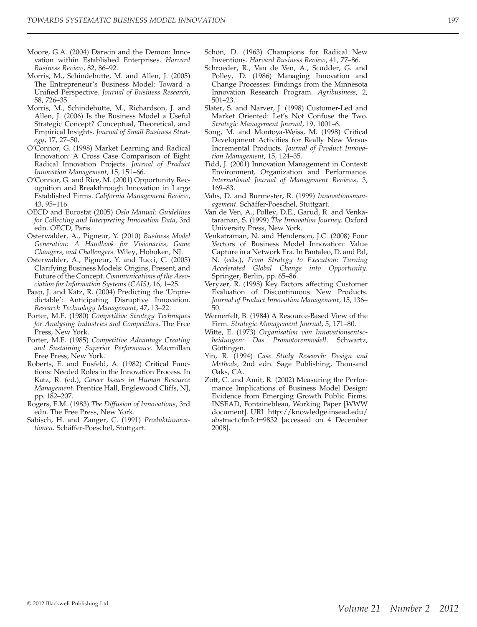- Moore, G.A. (2004) Darwin and the Demon: Innovation within Established Enterprises. *Harvard Business Review*, 82, 86–92.
- Morris, M., Schindehutte, M. and Allen, J. (2005) The Entrepreneur's Business Model: Toward a Unified Perspective. *Journal of Business Research*, 58, 726–35.
- Morris, M., Schindehutte, M., Richardson, J. and Allen, J. (2006) Is the Business Model a Useful Strategic Concept? Conceptual, Theoretical, and Empirical Insights. *Journal of Small Business Strategy*, 17, 27–50.
- O'Connor, G. (1998) Market Learning and Radical Innovation: A Cross Case Comparison of Eight Radical Innovation Projects. *Journal of Product Innovation Management*, 15, 151–66.
- O'Connor, G. and Rice, M. (2001) Opportunity Recognition and Breakthrough Innovation in Large Established Firms. *California Management Review*, 43, 95–116.
- OECD and Eurostat (2005) *Oslo Manual: Guidelines for Collecting and Interpreting Innovation Data*, 3rd edn. OECD, Paris.
- Osterwalder, A., Pigneur, Y. (2010) *Business Model Generation: A Handbook for Visionaries, Game Changers, and Challengers*. Wiley, Hoboken, NJ.
- Osterwalder, A., Pigneur, Y. and Tucci, C. (2005) Clarifying Business Models: Origins, Present, and Future of the Concept. *Communications of the Association for Information Systems (CAIS)*, 16, 1–25.
- Paap, J. and Katz, R. (2004) Predicting the 'Unpredictable': Anticipating Disruptive Innovation. *Research Technology Management*, 47, 13–22.
- Porter, M.E. (1980) *Competitive Strategy Techniques for Analysing Industries and Competitors*. The Free Press, New York.
- Porter, M.E. (1985) *Competitive Advantage Creating and Sustaining Superior Performance*. Macmillan Free Press, New York.
- Roberts, E. and Fusfeld, A. (1982) Critical Functions: Needed Roles in the Innovation Process. In Katz, R. (ed.), *Career Issues in Human Resource Management*. Prentice Hall, Englewood Cliffs, NJ, pp. 182–207.
- Rogers, E.M. (1983) *The Diffusion of Innovations*, 3rd edn. The Free Press, New York.
- Sabisch, H. and Zanger, C. (1991) *Produktinnovationen*. Schäffer-Poeschel, Stuttgart.
- Schön, D. (1963) Champions for Radical New Inventions. *Harvard Business Review*, 41, 77–86.
- Schroeder, R., Van de Ven, A., Scudder, G. and Polley, D. (1986) Managing Innovation and Change Processes: Findings from the Minnesota Innovation Research Program. *Agribusiness*, 2, 501–23.
- Slater, S. and Narver, J. (1998) Customer-Led and Market Oriented: Let's Not Confuse the Two. *Strategic Management Journal*, 19, 1001–6.
- Song, M. and Montoya-Weiss, M. (1998) Critical Development Activities for Really New Versus Incremental Products. *Journal of Product Innovation Management*, 15, 124–35.
- Tidd, J. (2001) Innovation Management in Context: Environment, Organization and Performance. *International Journal of Management Reviews*, 3, 169–83.
- Vahs, D. and Burmester, R. (1999) *Innovationsmanagement*. Schäffer-Poeschel, Stuttgart.
- Van de Ven, A., Polley, D.E., Garud, R. and Venkataraman, S. (1999) *The Innovation Journey*. Oxford University Press, New York.
- Venkatraman, N. and Henderson, J.C. (2008) Four Vectors of Business Model Innovation: Value Capture in a Network Era. In Pantaleo, D. and Pal, N. (eds.), *From Strategy to Execution: Turning Accelerated Global Change into Opportunity*. Springer, Berlin, pp. 65–86.
- Veryzer, R. (1998) Key Factors affecting Customer Evaluation of Discontinuous New Products. *Journal of Product Innovation Management*, 15, 136– 50.
- Wernerfelt, B. (1984) A Resource-Based View of the Firm. *Strategic Management Journal*, 5, 171–80.
- Witte, E. (1973) *Organisation von Innovationsentscheidungen: Das Promotorenmodell*. Schwartz, Göttingen.
- Yin, R. (1994) *Case Study Research: Design and Methods*, 2nd edn. Sage Publishing, Thousand Oaks, CA.
- Zott, C. and Amit, R. (2002) Measuring the Performance Implications of Business Model Design: Evidence from Emerging Growth Public Firms. INSEAD, Fontainebleau, Working Paper [WWW document]. URL http://knowledge.insead.edu/ abstract.cfm?ct=9832 [accessed on 4 December 2008].